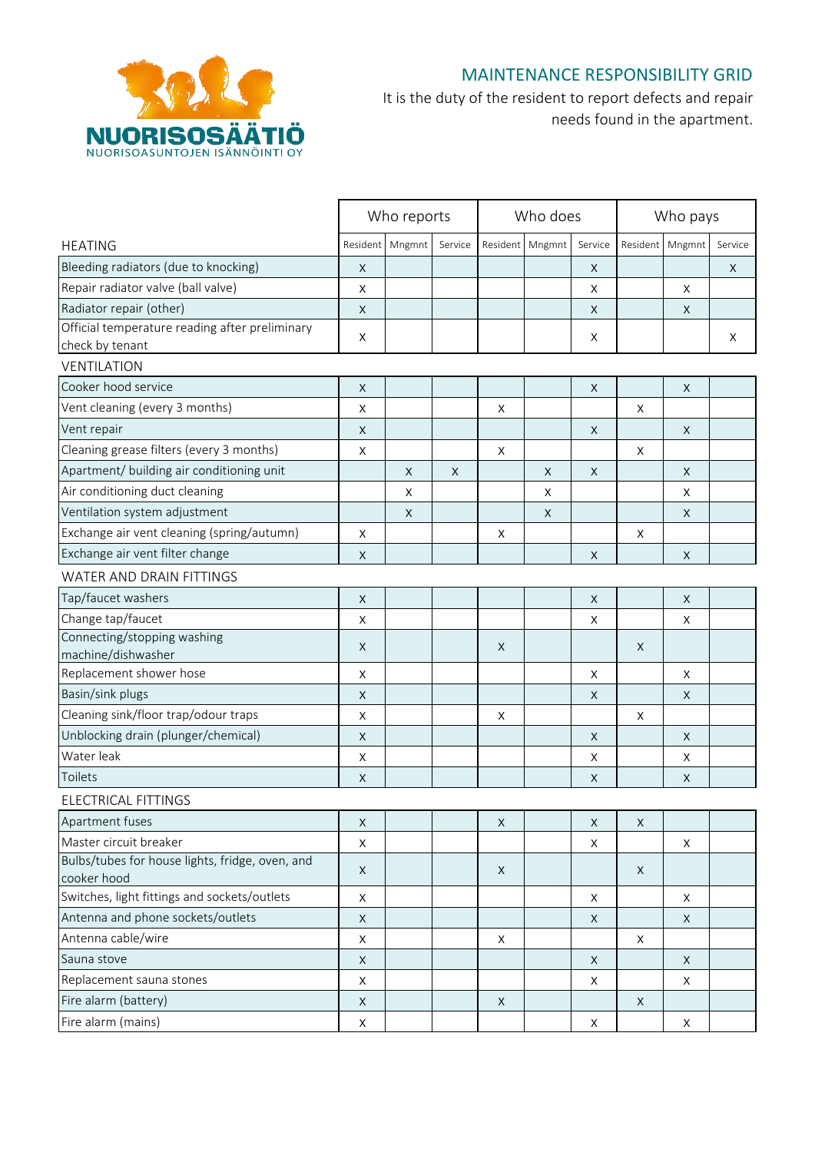

## MAINTENANCE RESPONSIBILITY GRID

It is the duty of the resident to report defects and repair needs found in the apartment.

|                                                 |             | Who reports |         |             | Who does    |             | Who pays     |             |         |
|-------------------------------------------------|-------------|-------------|---------|-------------|-------------|-------------|--------------|-------------|---------|
| <b>HEATING</b>                                  | Resident    | Mngmnt      | Service | Resident    | Mngmnt      | Service     | Resident     | Mngmnt      | Service |
| Bleeding radiators (due to knocking)            | X           |             |         |             |             | X           |              |             | X       |
| Repair radiator valve (ball valve)              | Χ           |             |         |             |             | X           |              | X           |         |
| Radiator repair (other)                         | X           |             |         |             |             | X           |              | X           |         |
| Official temperature reading after preliminary  |             |             |         |             |             |             |              |             |         |
| check by tenant                                 | X           |             |         |             |             | X           |              |             | X       |
| VENTILATION                                     |             |             |         |             |             |             |              |             |         |
| Cooker hood service                             | X           |             |         |             |             | X           |              | X           |         |
| Vent cleaning (every 3 months)                  | X           |             |         | X           |             |             | X            |             |         |
| Vent repair                                     | X           |             |         |             |             | X           |              | X           |         |
| Cleaning grease filters (every 3 months)        | X           |             |         | X           |             |             | X            |             |         |
| Apartment/ building air conditioning unit       |             | $\mathsf X$ | X       |             | $\mathsf X$ | X           |              | $\mathsf X$ |         |
| Air conditioning duct cleaning                  |             | X           |         |             | Χ           |             |              | X           |         |
| Ventilation system adjustment                   |             | X           |         |             | X           |             |              | X           |         |
| Exchange air vent cleaning (spring/autumn)      | X           |             |         | X           |             |             | X            |             |         |
| Exchange air vent filter change                 | X           |             |         |             |             | X           |              | X           |         |
| WATER AND DRAIN FITTINGS                        |             |             |         |             |             |             |              |             |         |
| Tap/faucet washers                              | X           |             |         |             |             | $\mathsf X$ |              | $\mathsf X$ |         |
| Change tap/faucet                               | X           |             |         |             |             | X           |              | X           |         |
| Connecting/stopping washing                     |             |             |         |             |             |             |              |             |         |
| machine/dishwasher                              | X           |             |         | X           |             |             | X            |             |         |
| Replacement shower hose                         | X           |             |         |             |             | X           |              | X           |         |
| Basin/sink plugs                                | X           |             |         |             |             | X           |              | X           |         |
| Cleaning sink/floor trap/odour traps            | X           |             |         | Χ           |             |             | X            |             |         |
| Unblocking drain (plunger/chemical)             | X           |             |         |             |             | X           |              | X           |         |
| Water leak                                      | X           |             |         |             |             | X           |              | X           |         |
| Toilets                                         | X           |             |         |             |             | X           |              | X           |         |
| ELECTRICAL FITTINGS                             |             |             |         |             |             |             |              |             |         |
| Apartment fuses                                 | X           |             |         | $\mathsf X$ |             | X           | X            |             |         |
| Master circuit breaker                          | X           |             |         |             |             | X           |              | X           |         |
| Bulbs/tubes for house lights, fridge, oven, and | X           |             |         | X           |             |             | X            |             |         |
| cooker hood                                     |             |             |         |             |             |             |              |             |         |
| Switches, light fittings and sockets/outlets    | $\sf X$     |             |         |             |             | X           |              | X           |         |
| Antenna and phone sockets/outlets               | X           |             |         |             |             | X           |              | X           |         |
| Antenna cable/wire                              | $\mathsf X$ |             |         | $\mathsf X$ |             |             | $\mathsf X$  |             |         |
| Sauna stove                                     | X           |             |         |             |             | X           |              | X           |         |
| Replacement sauna stones                        | X           |             |         |             |             | X           |              | X           |         |
| Fire alarm (battery)                            | X           |             |         | X           |             |             | $\mathsf{X}$ |             |         |
| Fire alarm (mains)                              | $\mathsf X$ |             |         |             |             | X           |              | X           |         |